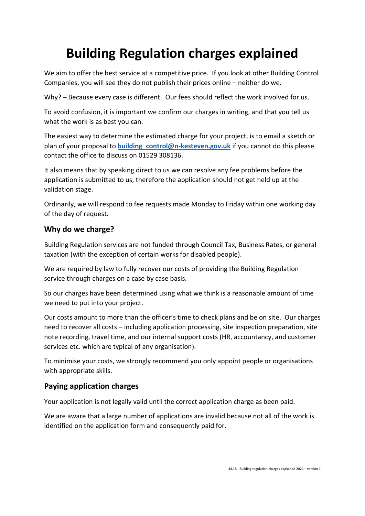# **Building Regulation charges explained**

We aim to offer the best service at a competitive price. If you look at other Building Control Companies, you will see they do not publish their prices online – neither do we.

Why? – Because every case is different. Our fees should reflect the work involved for us.

To avoid confusion, it is important we confirm our charges in writing, and that you tell us what the work is as best you can.

The easiest way to determine the estimated charge for your project, is to email a sketch or plan of your proposal to **[building\\_control@n-kesteven.gov.uk](mailto:building_control@n-kesteven.gov.uk)** if you cannot do this please contact the office to discuss on 01529 308136.

It also means that by speaking direct to us we can resolve any fee problems before the application is submitted to us, therefore the application should not get held up at the validation stage.

Ordinarily, we will respond to fee requests made Monday to Friday within one working day of the day of request.

## **Why do we charge?**

Building Regulation services are not funded through Council Tax, Business Rates, or general taxation (with the exception of certain works for disabled people).

We are required by law to fully recover our costs of providing the Building Regulation service through charges on a case by case basis.

So our charges have been determined using what we think is a reasonable amount of time we need to put into your project.

Our costs amount to more than the officer's time to check plans and be on site. Our charges need to recover all costs – including application processing, site inspection preparation, site note recording, travel time, and our internal support costs (HR, accountancy, and customer services etc. which are typical of any organisation).

To minimise your costs, we strongly recommend you only appoint people or organisations with appropriate skills.

# **Paying application charges**

Your application is not legally valid until the correct application charge as been paid.

We are aware that a large number of applications are invalid because not all of the work is identified on the application form and consequently paid for.